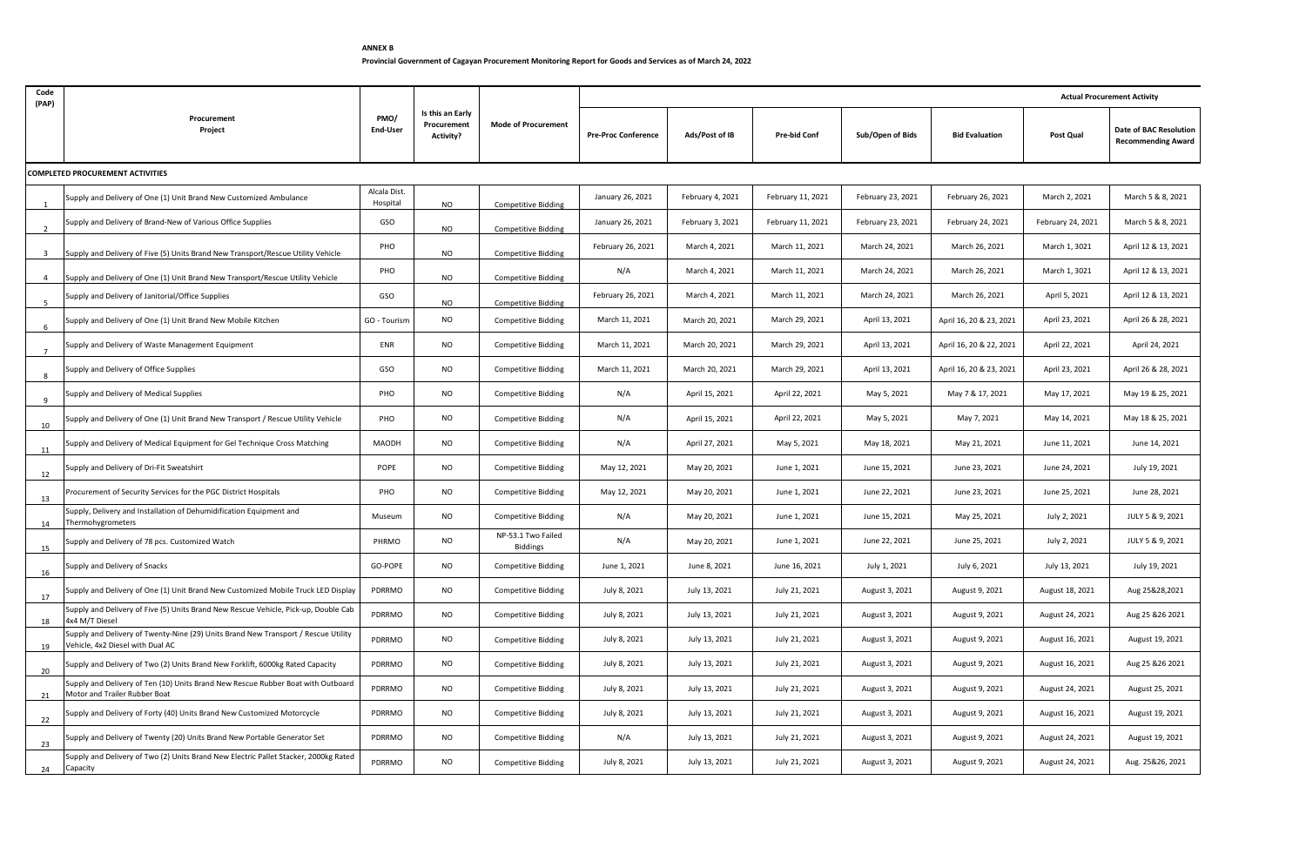## **ANNEX B Provincial Government of Cagayan Procurement Monitoring Report for Goods and Services as of March 24, 2022**

| Code<br>(PAP)           |                                                                                                                        |                          |                                                     |                                |                            |                  |                     |                   |                         |                   | <b>Actual Procurement Activity</b>                  |  |  |  |
|-------------------------|------------------------------------------------------------------------------------------------------------------------|--------------------------|-----------------------------------------------------|--------------------------------|----------------------------|------------------|---------------------|-------------------|-------------------------|-------------------|-----------------------------------------------------|--|--|--|
|                         | Procurement<br>Project                                                                                                 | PMO/<br>End-User         | Is this an Early<br>Procurement<br><b>Activity?</b> | <b>Mode of Procurement</b>     | <b>Pre-Proc Conference</b> | Ads/Post of IB   | <b>Pre-bid Conf</b> | Sub/Open of Bids  | <b>Bid Evaluation</b>   | Post Qual         | Date of BAC Resolution<br><b>Recommending Award</b> |  |  |  |
|                         | <b>COMPLETED PROCUREMENT ACTIVITIES</b>                                                                                |                          |                                                     |                                |                            |                  |                     |                   |                         |                   |                                                     |  |  |  |
|                         | Supply and Delivery of One (1) Unit Brand New Customized Ambulance                                                     | Alcala Dist.<br>Hospital | <b>NO</b>                                           | <b>Competitive Bidding</b>     | January 26, 2021           | February 4, 2021 | February 11, 2021   | February 23, 2021 | February 26, 2021       | March 2, 2021     | March 5 & 8, 2021                                   |  |  |  |
|                         | Supply and Delivery of Brand-New of Various Office Supplies                                                            | GSO                      | NO                                                  | <b>Competitive Bidding</b>     | January 26, 2021           | February 3, 2021 | February 11, 2021   | February 23, 2021 | February 24, 2021       | February 24, 2021 | March 5 & 8, 2021                                   |  |  |  |
| $\overline{\mathbf{3}}$ | Supply and Delivery of Five (5) Units Brand New Transport/Rescue Utility Vehicle                                       | PHO                      | <b>NO</b>                                           | <b>Competitive Bidding</b>     | February 26, 2021          | March 4, 2021    | March 11, 2021      | March 24, 2021    | March 26, 2021          | March 1, 3021     | April 12 & 13, 2021                                 |  |  |  |
| $\overline{4}$          | Supply and Delivery of One (1) Unit Brand New Transport/Rescue Utility Vehicle                                         | PHO                      | NO                                                  | <b>Competitive Bidding</b>     | N/A                        | March 4, 2021    | March 11, 2021      | March 24, 2021    | March 26, 2021          | March 1, 3021     | April 12 & 13, 2021                                 |  |  |  |
|                         | Supply and Delivery of Janitorial/Office Supplies                                                                      | GSO                      | <b>NO</b>                                           | <b>Competitive Bidding</b>     | February 26, 2021          | March 4, 2021    | March 11, 2021      | March 24, 2021    | March 26, 2021          | April 5, 2021     | April 12 & 13, 2021                                 |  |  |  |
| 6                       | Supply and Delivery of One (1) Unit Brand New Mobile Kitchen                                                           | GO - Tourism             | <b>NO</b>                                           | Competitive Bidding            | March 11, 2021             | March 20, 2021   | March 29, 2021      | April 13, 2021    | April 16, 20 & 23, 2021 | April 23, 2021    | April 26 & 28, 2021                                 |  |  |  |
|                         | Supply and Delivery of Waste Management Equipment                                                                      | ENR                      | <b>NO</b>                                           | Competitive Bidding            | March 11, 2021             | March 20, 2021   | March 29, 2021      | April 13, 2021    | April 16, 20 & 22, 2021 | April 22, 2021    | April 24, 2021                                      |  |  |  |
|                         | Supply and Delivery of Office Supplies                                                                                 | GSO                      | <b>NO</b>                                           | Competitive Bidding            | March 11, 2021             | March 20, 2021   | March 29, 2021      | April 13, 2021    | April 16, 20 & 23, 2021 | April 23, 2021    | April 26 & 28, 2021                                 |  |  |  |
| 9                       | Supply and Delivery of Medical Supplies                                                                                | PHO                      | <b>NO</b>                                           | <b>Competitive Bidding</b>     | N/A                        | April 15, 2021   | April 22, 2021      | May 5, 2021       | May 7 & 17, 2021        | May 17, 2021      | May 19 & 25, 2021                                   |  |  |  |
| 10                      | Supply and Delivery of One (1) Unit Brand New Transport / Rescue Utility Vehicle                                       | PHO                      | <b>NO</b>                                           | <b>Competitive Bidding</b>     | N/A                        | April 15, 2021   | April 22, 2021      | May 5, 2021       | May 7, 2021             | May 14, 2021      | May 18 & 25, 2021                                   |  |  |  |
| 11                      | Supply and Delivery of Medical Equipment for Gel Technique Cross Matching                                              | MAODH                    | <b>NO</b>                                           | <b>Competitive Bidding</b>     | N/A                        | April 27, 2021   | May 5, 2021         | May 18, 2021      | May 21, 2021            | June 11, 2021     | June 14, 2021                                       |  |  |  |
| 12                      | Supply and Delivery of Dri-Fit Sweatshirt                                                                              | POPE                     | <b>NO</b>                                           | <b>Competitive Bidding</b>     | May 12, 2021               | May 20, 2021     | June 1, 2021        | June 15, 2021     | June 23, 2021           | June 24, 2021     | July 19, 2021                                       |  |  |  |
| 13                      | Procurement of Security Services for the PGC District Hospitals                                                        | PHO                      | <b>NO</b>                                           | Competitive Bidding            | May 12, 2021               | May 20, 2021     | June 1, 2021        | June 22, 2021     | June 23, 2021           | June 25, 2021     | June 28, 2021                                       |  |  |  |
| 14                      | Supply, Delivery and Installation of Dehumidification Equipment and<br>Thermohygrometers                               | Museum                   | <b>NO</b>                                           | <b>Competitive Bidding</b>     | N/A                        | May 20, 2021     | June 1, 2021        | June 15, 2021     | May 25, 2021            | July 2, 2021      | JULY 5 & 9, 2021                                    |  |  |  |
| 15                      | Supply and Delivery of 78 pcs. Customized Watch                                                                        | PHRMO                    | <b>NO</b>                                           | NP-53.1 Two Failed<br>Biddings | N/A                        | May 20, 2021     | June 1, 2021        | June 22, 2021     | June 25, 2021           | July 2, 2021      | JULY 5 & 9, 2021                                    |  |  |  |
| 16                      | Supply and Delivery of Snacks                                                                                          | GO-POPE                  | <b>NO</b>                                           | <b>Competitive Bidding</b>     | June 1, 2021               | June 8, 2021     | June 16, 2021       | July 1, 2021      | July 6, 2021            | July 13, 2021     | July 19, 2021                                       |  |  |  |
| 17                      | Supply and Delivery of One (1) Unit Brand New Customized Mobile Truck LED Display                                      | PDRRMO                   | <b>NO</b>                                           | <b>Competitive Bidding</b>     | July 8, 2021               | July 13, 2021    | July 21, 2021       | August 3, 2021    | August 9, 2021          | August 18, 2021   | Aug 25&28,2021                                      |  |  |  |
| 18                      | Supply and Delivery of Five (5) Units Brand New Rescue Vehicle, Pick-up, Double Cab<br>4x4 M/T Diesel                  | PDRRMO                   | NO                                                  | <b>Competitive Bidding</b>     | July 8, 2021               | July 13, 2021    | July 21, 2021       | August 3, 2021    | August 9, 2021          | August 24, 2021   | Aug 25 & 26 2021                                    |  |  |  |
| 19                      | Supply and Delivery of Twenty-Nine (29) Units Brand New Transport / Rescue Utility<br>Vehicle, 4x2 Diesel with Dual AC | PDRRMO                   | NO                                                  | <b>Competitive Bidding</b>     | July 8, 2021               | July 13, 2021    | July 21, 2021       | August 3, 2021    | August 9, 2021          | August 16, 2021   | August 19, 2021                                     |  |  |  |
| 20                      | Supply and Delivery of Two (2) Units Brand New Forklift, 6000kg Rated Capacity                                         | PDRRMO                   | <b>NO</b>                                           | <b>Competitive Bidding</b>     | July 8, 2021               | July 13, 2021    | July 21, 2021       | August 3, 2021    | August 9, 2021          | August 16, 2021   | Aug 25 & 26 2021                                    |  |  |  |
| 21                      | Supply and Delivery of Ten (10) Units Brand New Rescue Rubber Boat with Outboard<br>Motor and Trailer Rubber Boat      | PDRRMO                   | <b>NO</b>                                           | <b>Competitive Bidding</b>     | July 8, 2021               | July 13, 2021    | July 21, 2021       | August 3, 2021    | August 9, 2021          | August 24, 2021   | August 25, 2021                                     |  |  |  |
| 22                      | Supply and Delivery of Forty (40) Units Brand New Customized Motorcycle                                                | PDRRMO                   | <b>NO</b>                                           | <b>Competitive Bidding</b>     | July 8, 2021               | July 13, 2021    | July 21, 2021       | August 3, 2021    | August 9, 2021          | August 16, 2021   | August 19, 2021                                     |  |  |  |
| 23                      | Supply and Delivery of Twenty (20) Units Brand New Portable Generator Set                                              | PDRRMO                   | <b>NO</b>                                           | <b>Competitive Bidding</b>     | N/A                        | July 13, 2021    | July 21, 2021       | August 3, 2021    | August 9, 2021          | August 24, 2021   | August 19, 2021                                     |  |  |  |
| 24                      | Supply and Delivery of Two (2) Units Brand New Electric Pallet Stacker, 2000kg Rated<br>Capacity                       | PDRRMO                   | <b>NO</b>                                           | <b>Competitive Bidding</b>     | July 8, 2021               | July 13, 2021    | July 21, 2021       | August 3, 2021    | August 9, 2021          | August 24, 2021   | Aug. 25&26, 2021                                    |  |  |  |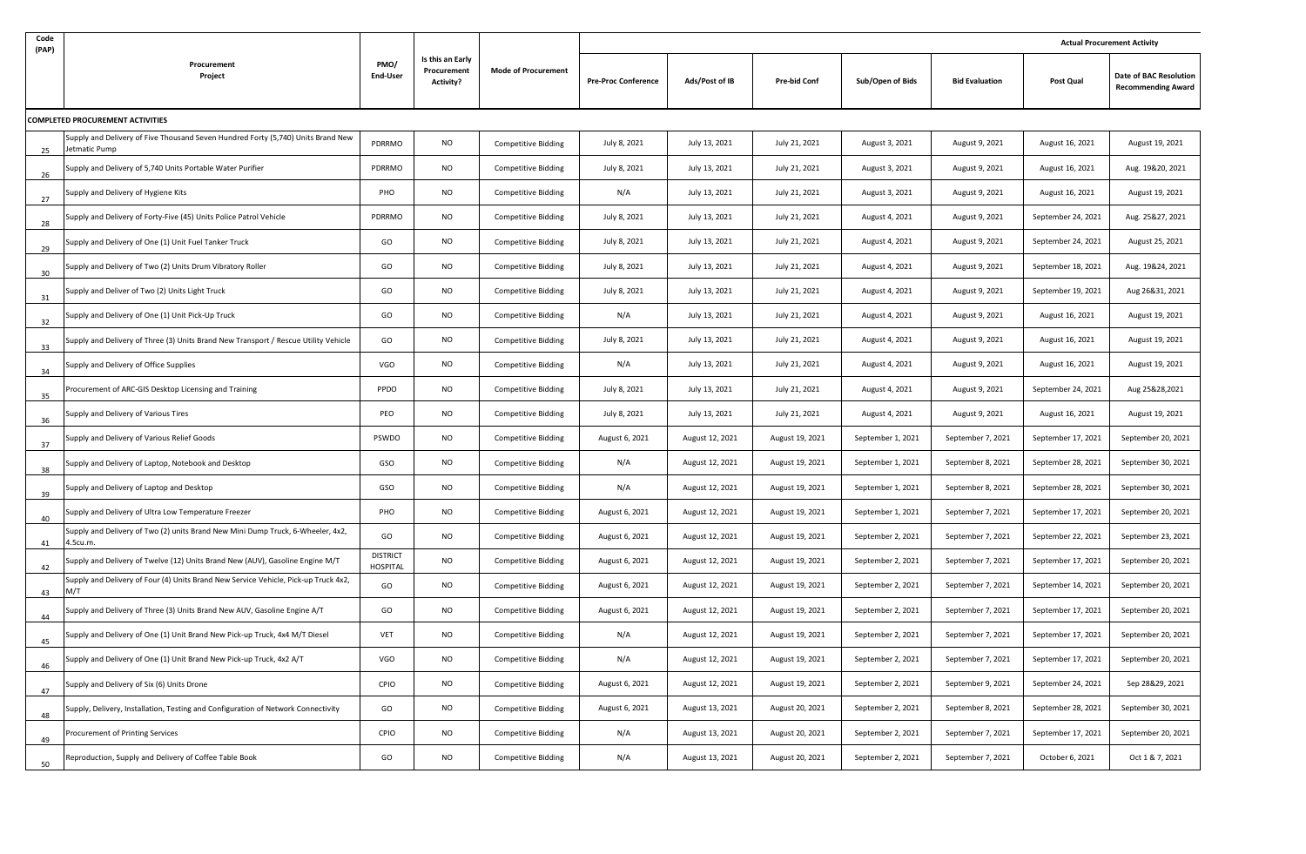| Code<br>(PAP) |                                                                                                   |                             |                                                     |                            |                            |                 |                     |                   |                       | <b>Actual Procurement Activity</b> |                                                     |  |
|---------------|---------------------------------------------------------------------------------------------------|-----------------------------|-----------------------------------------------------|----------------------------|----------------------------|-----------------|---------------------|-------------------|-----------------------|------------------------------------|-----------------------------------------------------|--|
|               | Procurement<br>Project                                                                            | PMO/<br>End-User            | Is this an Early<br>Procurement<br><b>Activity?</b> | <b>Mode of Procurement</b> | <b>Pre-Proc Conference</b> | Ads/Post of IB  | <b>Pre-bid Conf</b> | Sub/Open of Bids  | <b>Bid Evaluation</b> | Post Qual                          | Date of BAC Resolution<br><b>Recommending Award</b> |  |
|               | COMPLETED PROCUREMENT ACTIVITIES                                                                  |                             |                                                     |                            |                            |                 |                     |                   |                       |                                    |                                                     |  |
| 25            | Supply and Delivery of Five Thousand Seven Hundred Forty (5,740) Units Brand New<br>Jetmatic Pump | PDRRMO                      | NO                                                  | <b>Competitive Bidding</b> | July 8, 2021               | July 13, 2021   | July 21, 2021       | August 3, 2021    | August 9, 2021        | August 16, 2021                    | August 19, 2021                                     |  |
| 26            | Supply and Delivery of 5,740 Units Portable Water Purifier                                        | PDRRMO                      | <b>NO</b>                                           | <b>Competitive Bidding</b> | July 8, 2021               | July 13, 2021   | July 21, 2021       | August 3, 2021    | August 9, 2021        | August 16, 2021                    | Aug. 19&20, 2021                                    |  |
| 27            | Supply and Delivery of Hygiene Kits                                                               | PHO                         | NO                                                  | <b>Competitive Bidding</b> | N/A                        | July 13, 2021   | July 21, 2021       | August 3, 2021    | August 9, 2021        | August 16, 2021                    | August 19, 2021                                     |  |
| 28            | Supply and Delivery of Forty-Five (45) Units Police Patrol Vehicle                                | PDRRMO                      | NO                                                  | Competitive Bidding        | July 8, 2021               | July 13, 2021   | July 21, 2021       | August 4, 2021    | August 9, 2021        | September 24, 2021                 | Aug. 25&27, 2021                                    |  |
| 29            | Supply and Delivery of One (1) Unit Fuel Tanker Truck                                             | GO                          | <b>NO</b>                                           | <b>Competitive Bidding</b> | July 8, 2021               | July 13, 2021   | July 21, 2021       | August 4, 2021    | August 9, 2021        | September 24, 2021                 | August 25, 2021                                     |  |
| 30            | Supply and Delivery of Two (2) Units Drum Vibratory Roller                                        | GO                          | NO                                                  | Competitive Bidding        | July 8, 2021               | July 13, 2021   | July 21, 2021       | August 4, 2021    | August 9, 2021        | September 18, 2021                 | Aug. 19&24, 2021                                    |  |
| 31            | Supply and Deliver of Two (2) Units Light Truck                                                   | GO                          | NO                                                  | Competitive Bidding        | July 8, 2021               | July 13, 2021   | July 21, 2021       | August 4, 2021    | August 9, 2021        | September 19, 2021                 | Aug 26&31, 2021                                     |  |
| 32            | Supply and Delivery of One (1) Unit Pick-Up Truck                                                 | GO                          | <b>NO</b>                                           | Competitive Bidding        | N/A                        | July 13, 2021   | July 21, 2021       | August 4, 2021    | August 9, 2021        | August 16, 2021                    | August 19, 2021                                     |  |
| 33            | Supply and Delivery of Three (3) Units Brand New Transport / Rescue Utility Vehicle               | GO                          | <b>NO</b>                                           | Competitive Bidding        | July 8, 2021               | July 13, 2021   | July 21, 2021       | August 4, 2021    | August 9, 2021        | August 16, 2021                    | August 19, 2021                                     |  |
| 34            | Supply and Delivery of Office Supplies                                                            | VGO                         | NO                                                  | <b>Competitive Bidding</b> | N/A                        | July 13, 2021   | July 21, 2021       | August 4, 2021    | August 9, 2021        | August 16, 2021                    | August 19, 2021                                     |  |
| 35            | Procurement of ARC-GIS Desktop Licensing and Training                                             | PPDO                        | <b>NO</b>                                           | Competitive Bidding        | July 8, 2021               | July 13, 2021   | July 21, 2021       | August 4, 2021    | August 9, 2021        | September 24, 2021                 | Aug 25&28,2021                                      |  |
| 36            | Supply and Delivery of Various Tires                                                              | PEO                         | <b>NO</b>                                           | Competitive Bidding        | July 8, 2021               | July 13, 2021   | July 21, 2021       | August 4, 2021    | August 9, 2021        | August 16, 2021                    | August 19, 2021                                     |  |
| 37            | Supply and Delivery of Various Relief Goods                                                       | PSWDO                       | <b>NO</b>                                           | <b>Competitive Bidding</b> | August 6, 2021             | August 12, 2021 | August 19, 2021     | September 1, 2021 | September 7, 2021     | September 17, 2021                 | September 20, 2021                                  |  |
| 38            | Supply and Delivery of Laptop, Notebook and Desktop                                               | GSO                         | <b>NO</b>                                           | Competitive Bidding        | N/A                        | August 12, 2021 | August 19, 2021     | September 1, 2021 | September 8, 2021     | September 28, 2021                 | September 30, 2021                                  |  |
| 39            | Supply and Delivery of Laptop and Desktop                                                         | GSO                         | NO                                                  | Competitive Bidding        | N/A                        | August 12, 2021 | August 19, 2021     | September 1, 2021 | September 8, 2021     | September 28, 2021                 | September 30, 2021                                  |  |
| 40            | Supply and Delivery of Ultra Low Temperature Freezer                                              | PHO                         | <b>NO</b>                                           | <b>Competitive Bidding</b> | August 6, 2021             | August 12, 2021 | August 19, 2021     | September 1, 2021 | September 7, 2021     | September 17, 2021                 | September 20, 2021                                  |  |
| 41            | Supply and Delivery of Two (2) units Brand New Mini Dump Truck, 6-Wheeler, 4x2,<br>4.5cu.m.       | GO                          | <b>NO</b>                                           | <b>Competitive Bidding</b> | August 6, 2021             | August 12, 2021 | August 19, 2021     | September 2, 2021 | September 7, 2021     | September 22, 2021                 | September 23, 2021                                  |  |
| 42            | Supply and Delivery of Twelve (12) Units Brand New (AUV), Gasoline Engine M/T                     | <b>DISTRICT</b><br>HOSPITAL | <b>NO</b>                                           | Competitive Bidding        | August 6, 2021             | August 12, 2021 | August 19, 2021     | September 2, 2021 | September 7, 2021     | September 17, 2021                 | September 20, 2021                                  |  |
| 43            | Supply and Delivery of Four (4) Units Brand New Service Vehicle, Pick-up Truck 4x2,<br>M/T        | GO                          | NO                                                  | Competitive Bidding        | August 6, 2021             | August 12, 2021 | August 19, 2021     | September 2, 2021 | September 7, 2021     | September 14, 2021                 | September 20, 2021                                  |  |
| 44            | Supply and Delivery of Three (3) Units Brand New AUV, Gasoline Engine A/T                         | GO                          | <b>NO</b>                                           | Competitive Bidding        | August 6, 2021             | August 12, 2021 | August 19, 2021     | September 2, 2021 | September 7, 2021     | September 17, 2021                 | September 20, 2021                                  |  |
| 45            | Supply and Delivery of One (1) Unit Brand New Pick-up Truck, 4x4 M/T Diesel                       | VET                         | NO                                                  | <b>Competitive Bidding</b> | N/A                        | August 12, 2021 | August 19, 2021     | September 2, 2021 | September 7, 2021     | September 17, 2021                 | September 20, 2021                                  |  |
| 46            | upply and Delivery of One (1) Unit Brand New Pick-up Truck, 4x2 A/T                               | VGO                         | <b>NO</b>                                           | <b>Competitive Bidding</b> | N/A                        | August 12, 2021 | August 19, 2021     | September 2, 2021 | September 7, 2021     | September 17, 2021                 | September 20, 2021                                  |  |
| 47            | Supply and Delivery of Six (6) Units Drone                                                        | CPIO                        | <b>NO</b>                                           | <b>Competitive Bidding</b> | August 6, 2021             | August 12, 2021 | August 19, 2021     | September 2, 2021 | September 9, 2021     | September 24, 2021                 | Sep 28&29, 2021                                     |  |
| 48            | Supply, Delivery, Installation, Testing and Configuration of Network Connectivity                 | GO                          | <b>NO</b>                                           | <b>Competitive Bidding</b> | August 6, 2021             | August 13, 2021 | August 20, 2021     | September 2, 2021 | September 8, 2021     | September 28, 2021                 | September 30, 2021                                  |  |
| 49            | Procurement of Printing Services                                                                  | CPIO                        | <b>NO</b>                                           | <b>Competitive Bidding</b> | N/A                        | August 13, 2021 | August 20, 2021     | September 2, 2021 | September 7, 2021     | September 17, 2021                 | September 20, 2021                                  |  |
| 50            | Reproduction, Supply and Delivery of Coffee Table Book                                            | GO                          | <b>NO</b>                                           | <b>Competitive Bidding</b> | N/A                        | August 13, 2021 | August 20, 2021     | September 2, 2021 | September 7, 2021     | October 6, 2021                    | Oct 1 & 7, 2021                                     |  |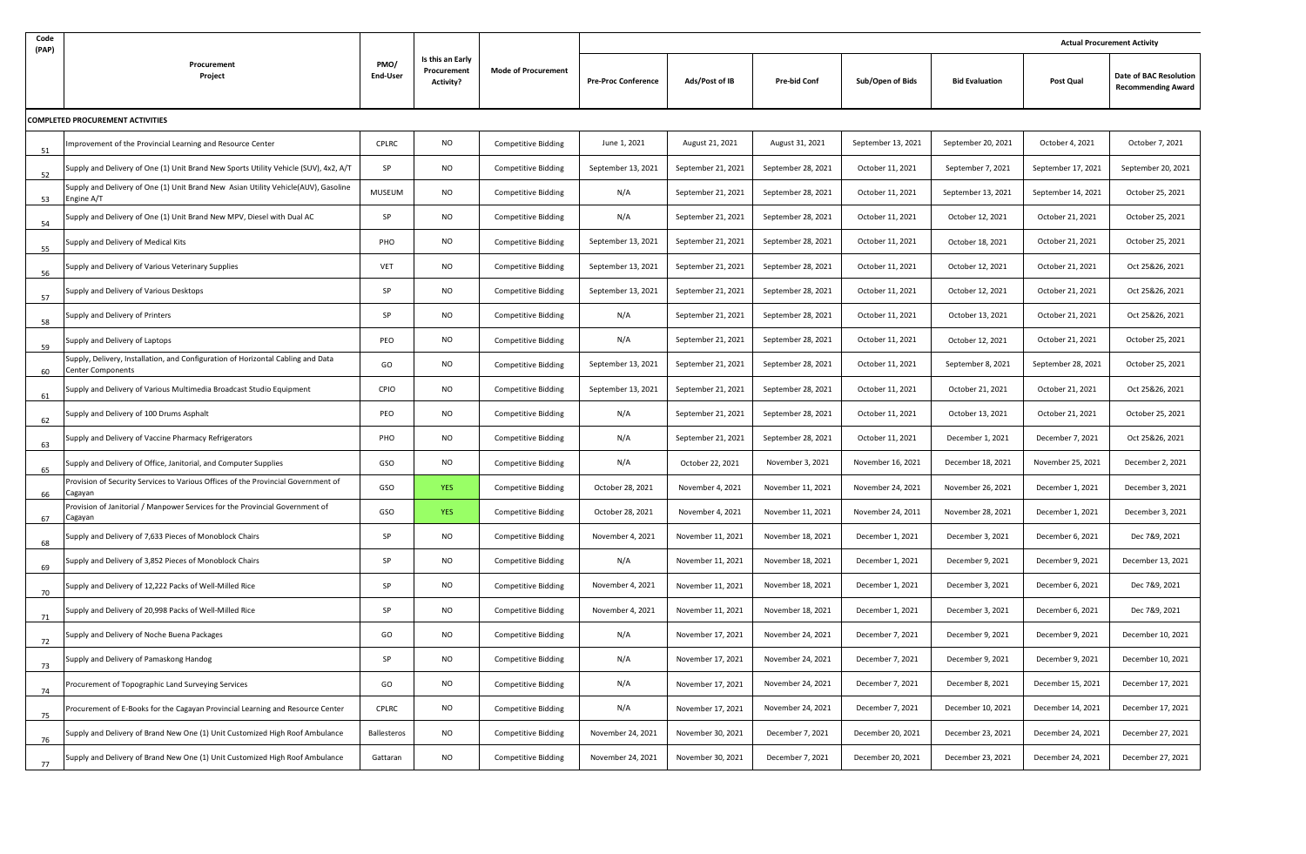| Code | (PAP)                                                                                                        |                  |                                                     |                            |                            |                    | <b>Actual Procurement Activity</b> |                    |                       |                    |                                                     |  |  |
|------|--------------------------------------------------------------------------------------------------------------|------------------|-----------------------------------------------------|----------------------------|----------------------------|--------------------|------------------------------------|--------------------|-----------------------|--------------------|-----------------------------------------------------|--|--|
|      | Procurement<br>Project                                                                                       | PMO/<br>End-User | Is this an Early<br>Procurement<br><b>Activity?</b> | <b>Mode of Procurement</b> | <b>Pre-Proc Conference</b> | Ads/Post of IB     | <b>Pre-bid Conf</b>                | Sub/Open of Bids   | <b>Bid Evaluation</b> | Post Qual          | Date of BAC Resolution<br><b>Recommending Award</b> |  |  |
|      | COMPLETED PROCUREMENT ACTIVITIES                                                                             |                  |                                                     |                            |                            |                    |                                    |                    |                       |                    |                                                     |  |  |
| 51   | mprovement of the Provincial Learning and Resource Center                                                    | CPLRC            | <b>NO</b>                                           | Competitive Bidding        | June 1, 2021               | August 21, 2021    | August 31, 2021                    | September 13, 2021 | September 20, 2021    | October 4, 2021    | October 7, 2021                                     |  |  |
| 52   | Supply and Delivery of One (1) Unit Brand New Sports Utility Vehicle (SUV), 4x2, A/T                         | SP               | <b>NO</b>                                           | Competitive Bidding        | September 13, 2021         | September 21, 2021 | September 28, 2021                 | October 11, 2021   | September 7, 2021     | September 17, 2021 | September 20, 2021                                  |  |  |
| 53   | Supply and Delivery of One (1) Unit Brand New Asian Utility Vehicle(AUV), Gasoline<br>Engine A/T             | MUSEUM           | <b>NO</b>                                           | Competitive Bidding        | N/A                        | September 21, 2021 | September 28, 2021                 | October 11, 2021   | September 13, 2021    | September 14, 2021 | October 25, 2021                                    |  |  |
| 54   | Supply and Delivery of One (1) Unit Brand New MPV, Diesel with Dual AC                                       | SP               | <b>NO</b>                                           | Competitive Bidding        | N/A                        | September 21, 2021 | September 28, 2021                 | October 11, 2021   | October 12, 2021      | October 21, 2021   | October 25, 2021                                    |  |  |
| 55   | Supply and Delivery of Medical Kits                                                                          | PHO              | <b>NO</b>                                           | Competitive Bidding        | September 13, 2021         | September 21, 2021 | September 28, 2021                 | October 11, 2021   | October 18, 2021      | October 21, 2021   | October 25, 2021                                    |  |  |
| 56   | Supply and Delivery of Various Veterinary Supplies                                                           | VET              | <b>NO</b>                                           | <b>Competitive Bidding</b> | September 13, 2021         | September 21, 2021 | September 28, 2021                 | October 11, 2021   | October 12, 2021      | October 21, 2021   | Oct 25&26, 2021                                     |  |  |
| 57   | Supply and Delivery of Various Desktops                                                                      | SP               | <b>NO</b>                                           | <b>Competitive Bidding</b> | September 13, 2021         | September 21, 2021 | September 28, 2021                 | October 11, 2021   | October 12, 2021      | October 21, 2021   | Oct 25&26, 2021                                     |  |  |
| 58   | Supply and Delivery of Printers                                                                              | SP               | <b>NO</b>                                           | Competitive Bidding        | N/A                        | September 21, 2021 | September 28, 2021                 | October 11, 2021   | October 13, 2021      | October 21, 2021   | Oct 25&26, 2021                                     |  |  |
| 59   | Supply and Delivery of Laptops                                                                               | PEO              | <b>NO</b>                                           | <b>Competitive Bidding</b> | N/A                        | September 21, 2021 | September 28, 2021                 | October 11, 2021   | October 12, 2021      | October 21, 2021   | October 25, 2021                                    |  |  |
| 60   | Supply, Delivery, Installation, and Configuration of Horizontal Cabling and Data<br><b>Center Components</b> | GO               | <b>NO</b>                                           | Competitive Bidding        | September 13, 2021         | September 21, 2021 | September 28, 2021                 | October 11, 2021   | September 8, 2021     | September 28, 2021 | October 25, 2021                                    |  |  |
| 61   | Supply and Delivery of Various Multimedia Broadcast Studio Equipment                                         | CPIO             | <b>NO</b>                                           | Competitive Bidding        | September 13, 2021         | September 21, 2021 | September 28, 2021                 | October 11, 2021   | October 21, 2021      | October 21, 2021   | Oct 25&26, 2021                                     |  |  |
| 62   | Supply and Delivery of 100 Drums Asphalt                                                                     | PEO              | <b>NO</b>                                           | Competitive Bidding        | N/A                        | September 21, 2021 | September 28, 2021                 | October 11, 2021   | October 13, 2021      | October 21, 2021   | October 25, 2021                                    |  |  |
| 63   | Supply and Delivery of Vaccine Pharmacy Refrigerators                                                        | PHO              | <b>NO</b>                                           | <b>Competitive Bidding</b> | N/A                        | September 21, 2021 | September 28, 2021                 | October 11, 2021   | December 1, 2021      | December 7, 2021   | Oct 25&26, 2021                                     |  |  |
| 65   | Supply and Delivery of Office, Janitorial, and Computer Supplies                                             | GSO              | <b>NO</b>                                           | <b>Competitive Bidding</b> | N/A                        | October 22, 2021   | November 3, 2021                   | November 16, 2021  | December 18, 2021     | November 25, 2021  | December 2, 2021                                    |  |  |
| 66   | Provision of Security Services to Various Offices of the Provincial Government of<br>Cagayan                 | GSO              | <b>YES</b>                                          | Competitive Bidding        | October 28, 2021           | November 4, 2021   | November 11, 2021                  | November 24, 2021  | November 26, 2021     | December 1, 2021   | December 3, 2021                                    |  |  |
| 67   | Provision of Janitorial / Manpower Services for the Provincial Government of<br>Cagayan                      | GSO              | <b>YES</b>                                          | Competitive Bidding        | October 28, 2021           | November 4, 2021   | November 11, 2021                  | November 24, 2011  | November 28, 2021     | December 1, 2021   | December 3, 2021                                    |  |  |
| 68   | Supply and Delivery of 7,633 Pieces of Monoblock Chairs                                                      | SP               | <b>NO</b>                                           | Competitive Bidding        | November 4, 2021           | November 11, 2021  | November 18, 2021                  | December 1, 2021   | December 3, 2021      | December 6, 2021   | Dec 7&9, 2021                                       |  |  |
| 69   | Supply and Delivery of 3,852 Pieces of Monoblock Chairs                                                      | SP               | <b>NO</b>                                           | Competitive Bidding        | N/A                        | November 11, 2021  | November 18, 2021                  | December 1, 2021   | December 9, 2021      | December 9, 2021   | December 13, 2021                                   |  |  |
| 70   | Supply and Delivery of 12,222 Packs of Well-Milled Rice                                                      | SP               | <b>NO</b>                                           | <b>Competitive Bidding</b> | November 4, 2021           | November 11, 2021  | November 18, 2021                  | December 1, 2021   | December 3, 2021      | December 6, 2021   | Dec 7&9, 2021                                       |  |  |
| 71   | Supply and Delivery of 20,998 Packs of Well-Milled Rice                                                      | SP               | <b>NO</b>                                           | Competitive Bidding        | November 4, 2021           | November 11, 2021  | November 18, 2021                  | December 1, 2021   | December 3, 2021      | December 6, 2021   | Dec 7&9, 2021                                       |  |  |
| 72   | Supply and Delivery of Noche Buena Packages                                                                  | GO               | <b>NO</b>                                           | Competitive Bidding        | N/A                        | November 17, 2021  | November 24, 2021                  | December 7, 2021   | December 9, 2021      | December 9, 2021   | December 10, 2021                                   |  |  |
| 73   | upply and Delivery of Pamaskong Handog                                                                       |                  | <b>NO</b>                                           | <b>Competitive Bidding</b> | N/A                        | November 17, 2021  | November 24, 2021                  | December 7, 2021   | December 9, 2021      | December 9, 2021   | December 10, 2021                                   |  |  |
| 74   | Procurement of Topographic Land Surveying Services                                                           | GO               | <b>NO</b>                                           | <b>Competitive Bidding</b> | N/A                        | November 17, 2021  | November 24, 2021                  | December 7, 2021   | December 8, 2021      | December 15, 2021  | December 17, 2021                                   |  |  |
| 75   | Procurement of E-Books for the Cagayan Provincial Learning and Resource Center                               | CPLRC            | <b>NO</b>                                           | <b>Competitive Bidding</b> | N/A                        | November 17, 2021  | November 24, 2021                  | December 7, 2021   | December 10, 2021     | December 14, 2021  | December 17, 2021                                   |  |  |
| 76   | Supply and Delivery of Brand New One (1) Unit Customized High Roof Ambulance                                 | Ballesteros      | <b>NO</b>                                           | <b>Competitive Bidding</b> | November 24, 2021          | November 30, 2021  | December 7, 2021                   | December 20, 2021  | December 23, 2021     | December 24, 2021  | December 27, 2021                                   |  |  |
| 77   | Supply and Delivery of Brand New One (1) Unit Customized High Roof Ambulance                                 | Gattaran         | <b>NO</b>                                           | <b>Competitive Bidding</b> | November 24, 2021          | November 30, 2021  | December 7, 2021                   | December 20, 2021  | December 23, 2021     | December 24, 2021  | December 27, 2021                                   |  |  |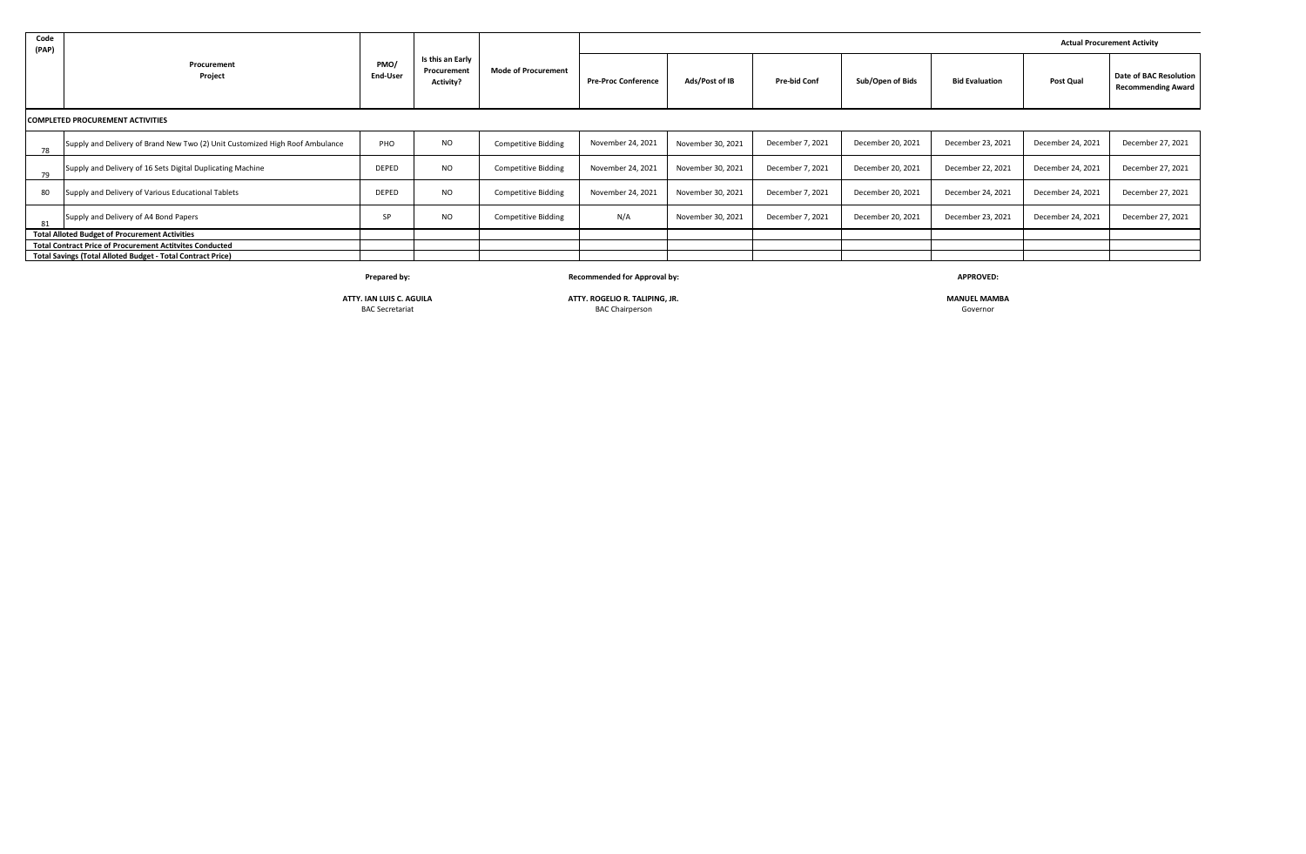| Code<br>(PAP)                                         |                                                                              |                  |                                                     |                            |                            |                   |                     |                   | <b>Actual Procurement Activity</b> |                   |                                                            |
|-------------------------------------------------------|------------------------------------------------------------------------------|------------------|-----------------------------------------------------|----------------------------|----------------------------|-------------------|---------------------|-------------------|------------------------------------|-------------------|------------------------------------------------------------|
|                                                       | Procurement<br>Project                                                       | PMO/<br>End-User | Is this an Early<br>Procurement<br><b>Activity?</b> | <b>Mode of Procurement</b> | <b>Pre-Proc Conference</b> | Ads/Post of IB    | <b>Pre-bid Conf</b> | Sub/Open of Bids  | <b>Bid Evaluation</b>              | Post Qual         | <b>Date of BAC Resolution</b><br><b>Recommending Award</b> |
|                                                       | <b>COMPLETED PROCUREMENT ACTIVITIES</b>                                      |                  |                                                     |                            |                            |                   |                     |                   |                                    |                   |                                                            |
| 78                                                    | Supply and Delivery of Brand New Two (2) Unit Customized High Roof Ambulance | PHO              | <b>NO</b>                                           | <b>Competitive Bidding</b> | November 24, 2021          | November 30, 2021 | December 7, 2021    | December 20, 2021 | December 23, 2021                  | December 24, 2021 | December 27, 2021                                          |
| 79                                                    | Supply and Delivery of 16 Sets Digital Duplicating Machine                   | DEPED            | <b>NO</b>                                           | <b>Competitive Bidding</b> | November 24, 2021          | November 30, 2021 | December 7, 2021    | December 20, 2021 | December 22, 2021                  | December 24, 2021 | December 27, 2021                                          |
| 80                                                    | Supply and Delivery of Various Educational Tablets                           | DEPED            | <b>NO</b>                                           | <b>Competitive Bidding</b> | November 24, 2021          | November 30, 2021 | December 7, 2021    | December 20, 2021 | December 24, 2021                  | December 24, 2021 | December 27, 2021                                          |
| 81                                                    | Supply and Delivery of A4 Bond Papers                                        | SP               | <b>NO</b>                                           | <b>Competitive Bidding</b> | N/A                        | November 30, 2021 | December 7, 2021    | December 20, 2021 | December 23, 2021                  | December 24, 2021 | December 27, 2021                                          |
| <b>Total Alloted Budget of Procurement Activities</b> |                                                                              |                  |                                                     |                            |                            |                   |                     |                   |                                    |                   |                                                            |
|                                                       | <b>Total Contract Price of Procurement Actitvites Conducted</b>              |                  |                                                     |                            |                            |                   |                     |                   |                                    |                   |                                                            |
|                                                       | Total Savings (Total Alloted Budget - Total Contract Price)                  |                  |                                                     |                            |                            |                   |                     |                   |                                    |                   |                                                            |

**Prepared by: Recommended for Approval by: APPROVED:**

**ATTY. IAN LUIS C. AGUILA ATTY. ROGELIO R. TALIPING, JR. MANUEL MAMBA** BAC Chairperson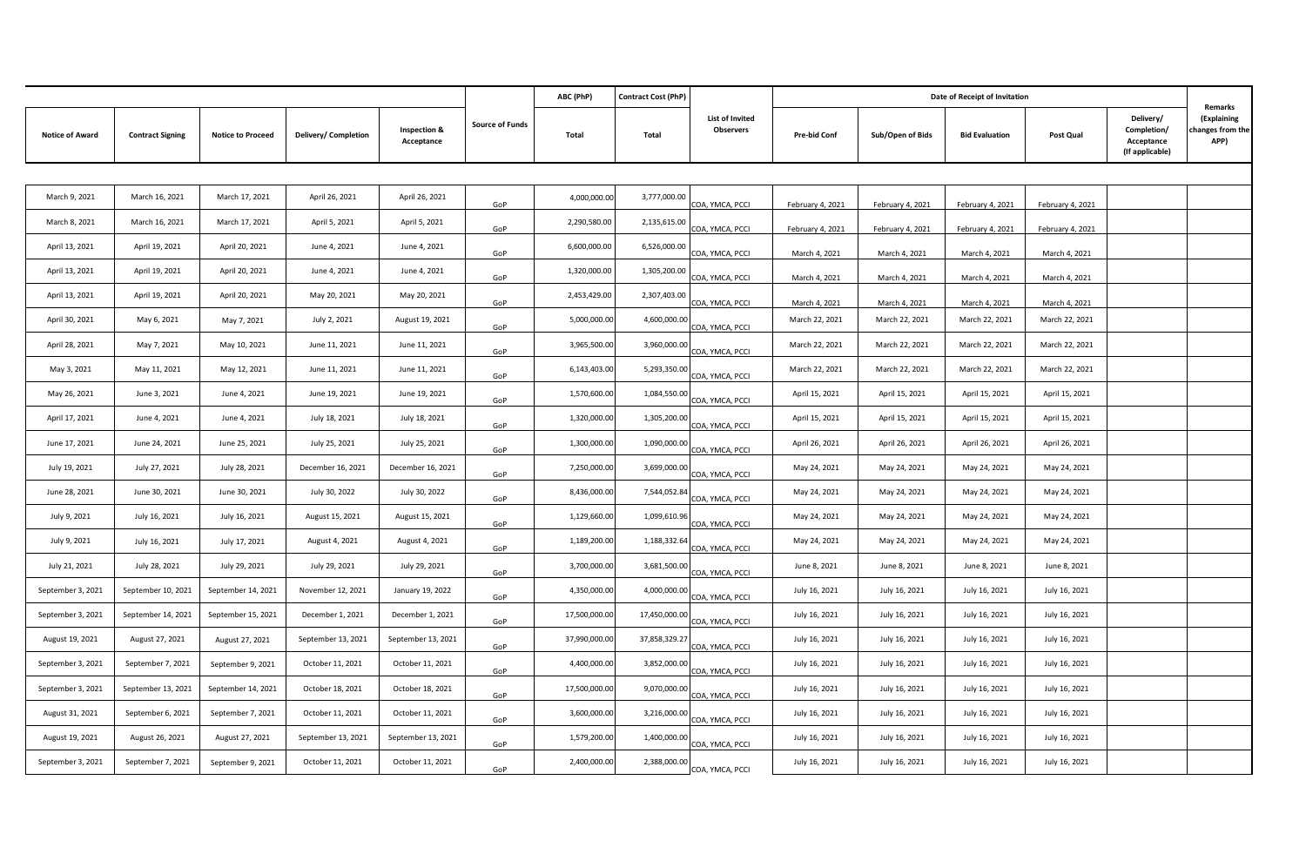|                        |                         |                          |                      |                                       |                        | ABC (PhP)     | <b>Contract Cost (PhP)</b> |                              |                     |                  | Date of Receipt of Invitation |                  |                                                           |                                                    |
|------------------------|-------------------------|--------------------------|----------------------|---------------------------------------|------------------------|---------------|----------------------------|------------------------------|---------------------|------------------|-------------------------------|------------------|-----------------------------------------------------------|----------------------------------------------------|
| <b>Notice of Award</b> | <b>Contract Signing</b> | <b>Notice to Proceed</b> | Delivery/ Completion | <b>Inspection &amp;</b><br>Acceptance | <b>Source of Funds</b> | Total         | Total                      | List of Invited<br>Observers | <b>Pre-bid Conf</b> | Sub/Open of Bids | <b>Bid Evaluation</b>         | Post Qual        | Delivery/<br>Completion/<br>Acceptance<br>(If applicable) | Remarks<br>(Explaining<br>hanges from the:<br>APP) |
|                        |                         |                          |                      |                                       |                        |               |                            |                              |                     |                  |                               |                  |                                                           |                                                    |
| March 9, 2021          | March 16, 2021          | March 17, 2021           | April 26, 2021       | April 26, 2021                        | GoP                    | 4,000,000.00  | 3,777,000.00               | COA, YMCA, PCCI              | February 4, 2021    | February 4, 2021 | February 4, 2021              | February 4, 2021 |                                                           |                                                    |
| March 8, 2021          | March 16, 2021          | March 17, 2021           | April 5, 2021        | April 5, 2021                         | GoP                    | 2,290,580.00  | 2,135,615.00               | COA, YMCA, PCCI              | February 4, 2021    | February 4, 2021 | February 4, 2021              | February 4, 2021 |                                                           |                                                    |
| April 13, 2021         | April 19, 2021          | April 20, 2021           | June 4, 2021         | June 4, 2021                          | GoP                    | 6,600,000.00  | 6,526,000.00               | COA, YMCA, PCCI              | March 4, 2021       | March 4, 2021    | March 4, 2021                 | March 4, 2021    |                                                           |                                                    |
| April 13, 2021         | April 19, 2021          | April 20, 2021           | June 4, 2021         | June 4, 2021                          | GoP                    | 1,320,000.00  | 1,305,200.00               | COA, YMCA, PCCI              | March 4, 2021       | March 4, 2021    | March 4, 2021                 | March 4, 2021    |                                                           |                                                    |
| April 13, 2021         | April 19, 2021          | April 20, 2021           | May 20, 2021         | May 20, 2021                          | GoP                    | 2,453,429.00  | 2,307,403.00               | COA, YMCA, PCCI              | March 4, 2021       | March 4, 2021    | March 4, 2021                 | March 4, 2021    |                                                           |                                                    |
| April 30, 2021         | May 6, 2021             | May 7, 2021              | July 2, 2021         | August 19, 2021                       | GoP                    | 5,000,000.00  | 4,600,000.00               | COA, YMCA, PCCI              | March 22, 2021      | March 22, 2021   | March 22, 2021                | March 22, 2021   |                                                           |                                                    |
| April 28, 2021         | May 7, 2021             | May 10, 2021             | June 11, 2021        | June 11, 2021                         | GoP                    | 3,965,500.00  | 3,960,000.00               | COA, YMCA, PCCI              | March 22, 2021      | March 22, 2021   | March 22, 2021                | March 22, 2021   |                                                           |                                                    |
| May 3, 2021            | May 11, 2021            | May 12, 2021             | June 11, 2021        | June 11, 2021                         | GoP                    | 6,143,403.00  | 5,293,350.00               | COA, YMCA, PCCI              | March 22, 2021      | March 22, 2021   | March 22, 2021                | March 22, 2021   |                                                           |                                                    |
| May 26, 2021           | June 3, 2021            | June 4, 2021             | June 19, 2021        | June 19, 2021                         | GoP                    | 1,570,600.00  | 1,084,550.00               | COA, YMCA, PCCI              | April 15, 2021      | April 15, 2021   | April 15, 2021                | April 15, 2021   |                                                           |                                                    |
| April 17, 2021         | June 4, 2021            | June 4, 2021             | July 18, 2021        | July 18, 2021                         | GoP                    | 1,320,000.00  | 1,305,200.00               | COA, YMCA, PCCI              | April 15, 2021      | April 15, 2021   | April 15, 2021                | April 15, 2021   |                                                           |                                                    |
| June 17, 2021          | June 24, 2021           | June 25, 2021            | July 25, 2021        | July 25, 2021                         | GoP                    | 1,300,000.00  | 1,090,000.00               | COA, YMCA, PCCI              | April 26, 2021      | April 26, 2021   | April 26, 2021                | April 26, 2021   |                                                           |                                                    |
| July 19, 2021          | July 27, 2021           | July 28, 2021            | December 16, 2021    | December 16, 2021                     | GoP                    | 7,250,000.00  | 3,699,000.00               | COA, YMCA, PCCI              | May 24, 2021        | May 24, 2021     | May 24, 2021                  | May 24, 2021     |                                                           |                                                    |
| June 28, 2021          | June 30, 2021           | June 30, 2021            | July 30, 2022        | July 30, 2022                         | GoP                    | 8,436,000.00  | 7,544,052.84               | COA, YMCA, PCCI              | May 24, 2021        | May 24, 2021     | May 24, 2021                  | May 24, 2021     |                                                           |                                                    |
| July 9, 2021           | July 16, 2021           | July 16, 2021            | August 15, 2021      | August 15, 2021                       | GoP                    | 1,129,660.00  | 1,099,610.96               | COA, YMCA, PCCI              | May 24, 2021        | May 24, 2021     | May 24, 2021                  | May 24, 2021     |                                                           |                                                    |
| July 9, 2021           | July 16, 2021           | July 17, 2021            | August 4, 2021       | August 4, 2021                        | GoP                    | 1,189,200.00  | 1,188,332.64               | COA, YMCA, PCCI              | May 24, 2021        | May 24, 2021     | May 24, 2021                  | May 24, 2021     |                                                           |                                                    |
| July 21, 2021          | July 28, 2021           | July 29, 2021            | July 29, 2021        | July 29, 2021                         | GoP                    | 3,700,000.00  | 3,681,500.00               | COA, YMCA, PCCI              | June 8, 2021        | June 8, 2021     | June 8, 2021                  | June 8, 2021     |                                                           |                                                    |
| September 3, 2021      | September 10, 2021      | September 14, 2021       | November 12, 2021    | January 19, 2022                      | GoP                    | 4,350,000.00  | 4,000,000.00               | COA, YMCA, PCCI              | July 16, 2021       | July 16, 2021    | July 16, 2021                 | July 16, 2021    |                                                           |                                                    |
| September 3, 2021      | September 14, 2021      | September 15, 2021       | December 1, 2021     | December 1, 2021                      | GoP                    | 17,500,000.00 | 17,450,000.00              | COA, YMCA, PCCI              | July 16, 2021       | July 16, 2021    | July 16, 2021                 | July 16, 2021    |                                                           |                                                    |
| August 19, 2021        | August 27, 2021         | August 27, 2021          | September 13, 2021   | September 13, 2021                    | GoP                    | 37,990,000.00 | 37,858,329.27              | COA, YMCA, PCCI              | July 16, 2021       | July 16, 2021    | July 16, 2021                 | July 16, 2021    |                                                           |                                                    |
| September 3, 2021      | September 7, 2021       | September 9, 2021        | October 11, 2021     | October 11, 2021                      | GoP                    | 4,400,000.00  | 3,852,000.00               | COA, YMCA, PCCI              | July 16, 2021       | July 16, 2021    | July 16, 2021                 | July 16, 2021    |                                                           |                                                    |
| September 3, 2021      | September 13, 2021      | September 14, 2021       | October 18, 2021     | October 18, 2021                      | GoP                    | 17,500,000.00 | 9,070,000.00               | COA, YMCA, PCCI              | July 16, 2021       | July 16, 2021    | July 16, 2021                 | July 16, 2021    |                                                           |                                                    |
| August 31, 2021        | September 6, 2021       | September 7, 2021        | October 11, 2021     | October 11, 2021                      | GoP                    | 3,600,000.00  | 3,216,000.00               | COA, YMCA, PCCI              | July 16, 2021       | July 16, 2021    | July 16, 2021                 | July 16, 2021    |                                                           |                                                    |
| August 19, 2021        | August 26, 2021         | August 27, 2021          | September 13, 2021   | September 13, 2021                    | GoP                    | 1,579,200.00  | 1,400,000.00               | COA, YMCA, PCCI              | July 16, 2021       | July 16, 2021    | July 16, 2021                 | July 16, 2021    |                                                           |                                                    |
| September 3, 2021      | September 7, 2021       | September 9, 2021        | October 11, 2021     | October 11, 2021                      | GoP                    | 2,400,000.00  | 2,388,000.00               | COA, YMCA, PCCI              | July 16, 2021       | July 16, 2021    | July 16, 2021                 | July 16, 2021    |                                                           |                                                    |
|                        |                         |                          |                      |                                       |                        |               |                            |                              |                     |                  |                               |                  |                                                           |                                                    |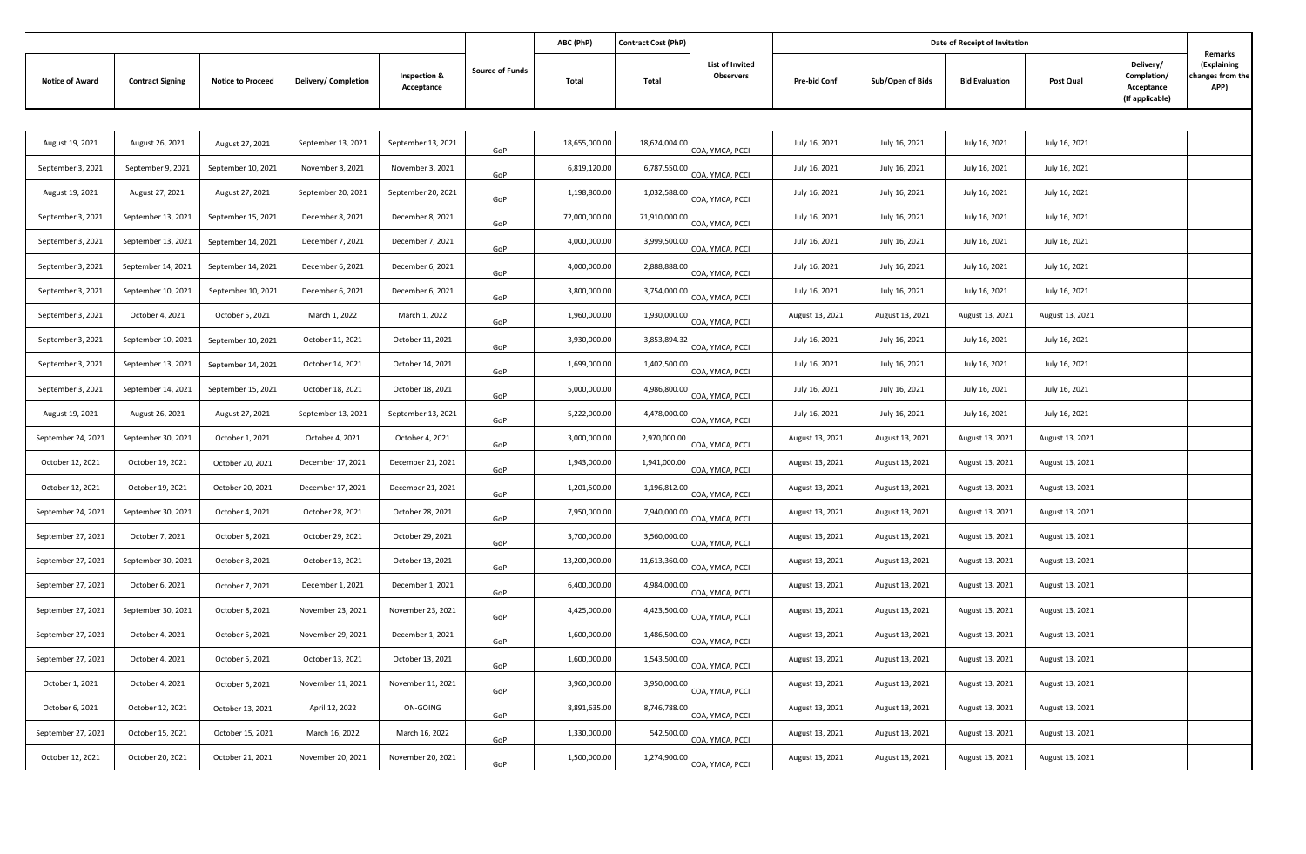|                        |                         |                          |                      |                                       |                        | ABC (PhP)     | <b>Contract Cost (PhP)</b> |                                     |                     |                  | Date of Receipt of Invitation |                 |                                                           | Remarks                                 |
|------------------------|-------------------------|--------------------------|----------------------|---------------------------------------|------------------------|---------------|----------------------------|-------------------------------------|---------------------|------------------|-------------------------------|-----------------|-----------------------------------------------------------|-----------------------------------------|
| <b>Notice of Award</b> | <b>Contract Signing</b> | <b>Notice to Proceed</b> | Delivery/ Completion | <b>Inspection &amp;</b><br>Acceptance | <b>Source of Funds</b> | Total         | Total                      | <b>List of Invited</b><br>Observers | <b>Pre-bid Conf</b> | Sub/Open of Bids | <b>Bid Evaluation</b>         | Post Qual       | Delivery/<br>Completion/<br>Acceptance<br>(If applicable) | (Explaining<br>changes from the<br>APP) |
|                        |                         |                          |                      |                                       |                        |               |                            |                                     |                     |                  |                               |                 |                                                           |                                         |
| August 19, 2021        | August 26, 2021         | August 27, 2021          | September 13, 2021   | September 13, 2021                    | GoP                    | 18,655,000.00 | 18,624,004.00              | COA, YMCA, PCCI                     | July 16, 2021       | July 16, 2021    | July 16, 2021                 | July 16, 2021   |                                                           |                                         |
| September 3, 2021      | September 9, 2021       | September 10, 2021       | November 3, 2021     | November 3, 2021                      | GoP                    | 6,819,120.00  | 6,787,550.00               | COA, YMCA, PCCI                     | July 16, 2021       | July 16, 2021    | July 16, 2021                 | July 16, 2021   |                                                           |                                         |
| August 19, 2021        | August 27, 2021         | August 27, 2021          | September 20, 2021   | September 20, 2021                    | GoP                    | 1,198,800.00  | 1,032,588.00               | COA, YMCA, PCCI                     | July 16, 2021       | July 16, 2021    | July 16, 2021                 | July 16, 2021   |                                                           |                                         |
| September 3, 2021      | September 13, 2021      | September 15, 2021       | December 8, 2021     | December 8, 2021                      | GoP                    | 72,000,000.00 | 71,910,000.00              | COA, YMCA, PCCI                     | July 16, 2021       | July 16, 2021    | July 16, 2021                 | July 16, 2021   |                                                           |                                         |
| September 3, 2021      | September 13, 2021      | September 14, 2021       | December 7, 2021     | December 7, 2021                      | GoP                    | 4,000,000.00  | 3,999,500.00               | COA, YMCA, PCCI                     | July 16, 2021       | July 16, 2021    | July 16, 2021                 | July 16, 2021   |                                                           |                                         |
| September 3, 2021      | September 14, 2021      | September 14, 2021       | December 6, 2021     | December 6, 2021                      | GoP                    | 4,000,000.00  | 2,888,888.00               | COA, YMCA, PCCI                     | July 16, 2021       | July 16, 2021    | July 16, 2021                 | July 16, 2021   |                                                           |                                         |
| September 3, 2021      | September 10, 2021      | September 10, 2021       | December 6, 2021     | December 6, 2021                      | GoP                    | 3,800,000.00  | 3,754,000.00               | COA, YMCA, PCCI                     | July 16, 2021       | July 16, 2021    | July 16, 2021                 | July 16, 2021   |                                                           |                                         |
| September 3, 2021      | October 4, 2021         | October 5, 2021          | March 1, 2022        | March 1, 2022                         | GoP                    | 1,960,000.00  | 1,930,000.00               | COA, YMCA, PCCI                     | August 13, 2021     | August 13, 2021  | August 13, 2021               | August 13, 2021 |                                                           |                                         |
| September 3, 2021      | September 10, 2021      | September 10, 2021       | October 11, 2021     | October 11, 2021                      | GoP                    | 3,930,000.00  | 3,853,894.32               | COA, YMCA, PCCI                     | July 16, 2021       | July 16, 2021    | July 16, 2021                 | July 16, 2021   |                                                           |                                         |
| September 3, 2021      | September 13, 2021      | September 14, 2021       | October 14, 2021     | October 14, 2021                      | GoP                    | 1,699,000.00  | 1,402,500.00               | COA, YMCA, PCCI                     | July 16, 2021       | July 16, 2021    | July 16, 2021                 | July 16, 2021   |                                                           |                                         |
| September 3, 2021      | September 14, 2021      | September 15, 2021       | October 18, 2021     | October 18, 2021                      | GoP                    | 5,000,000.00  | 4,986,800.00               | COA, YMCA, PCCI                     | July 16, 2021       | July 16, 2021    | July 16, 2021                 | July 16, 2021   |                                                           |                                         |
| August 19, 2021        | August 26, 2021         | August 27, 2021          | September 13, 2021   | September 13, 2021                    | GoP                    | 5,222,000.00  | 4,478,000.00               | COA, YMCA, PCCI                     | July 16, 2021       | July 16, 2021    | July 16, 2021                 | July 16, 2021   |                                                           |                                         |
| September 24, 2021     | September 30, 2021      | October 1, 2021          | October 4, 2021      | October 4, 2021                       | GoP                    | 3,000,000.00  | 2,970,000.00               | COA, YMCA, PCCI                     | August 13, 2021     | August 13, 2021  | August 13, 2021               | August 13, 2021 |                                                           |                                         |
| October 12, 2021       | October 19, 2021        | October 20, 2021         | December 17, 2021    | December 21, 2021                     | GoP                    | 1,943,000.00  | 1,941,000.00               | COA, YMCA, PCCI                     | August 13, 2021     | August 13, 2021  | August 13, 2021               | August 13, 2021 |                                                           |                                         |
| October 12, 2021       | October 19, 2021        | October 20, 2021         | December 17, 2021    | December 21, 2021                     | GoP                    | 1,201,500.00  | 1,196,812.00               | COA, YMCA, PCCI                     | August 13, 2021     | August 13, 2021  | August 13, 2021               | August 13, 2021 |                                                           |                                         |
| September 24, 2021     | September 30, 2021      | October 4, 2021          | October 28, 2021     | October 28, 2021                      | GoP                    | 7,950,000.00  | 7,940,000.00               | COA, YMCA, PCCI                     | August 13, 2021     | August 13, 2021  | August 13, 2021               | August 13, 2021 |                                                           |                                         |
| September 27, 2021     | October 7, 2021         | October 8, 2021          | October 29, 2021     | October 29, 2021                      | GoP                    | 3,700,000.00  | 3,560,000.00               | COA, YMCA, PCCI                     | August 13, 2021     | August 13, 2021  | August 13, 2021               | August 13, 2021 |                                                           |                                         |
| September 27, 2021     | September 30, 2021      | October 8, 2021          | October 13, 2021     | October 13, 2021                      | GoP                    | 13,200,000.00 | 11,613,360.00              | COA, YMCA, PCCI                     | August 13, 2021     | August 13, 2021  | August 13, 2021               | August 13, 2021 |                                                           |                                         |
| September 27, 2021     | October 6, 2021         | October 7, 2021          | December 1, 2021     | December 1, 2021                      | GoP                    | 6,400,000.00  | 4,984,000.00               | COA, YMCA, PCCI                     | August 13, 2021     | August 13, 2021  | August 13, 2021               | August 13, 2021 |                                                           |                                         |
| September 27, 2021     | September 30, 2021      | October 8, 2021          | November 23, 2021    | November 23, 2021                     | GoP                    | 4,425,000.00  | 4,423,500.00               | COA, YMCA, PCCI                     | August 13, 2021     | August 13, 2021  | August 13, 2021               | August 13, 2021 |                                                           |                                         |
| September 27, 2021     | October 4, 2021         | October 5, 2021          | November 29, 2021    | December 1, 2021                      | GoP                    | 1,600,000.00  | 1,486,500.00               | COA, YMCA, PCCI                     | August 13, 2021     | August 13, 2021  | August 13, 2021               | August 13, 2021 |                                                           |                                         |
| September 27, 2021     | October 4, 2021         | October 5, 2021          | October 13, 2021     | October 13, 2021                      | GoP                    | 1,600,000.00  | 1,543,500.00               | COA. YMCA. PCCI                     | August 13, 2021     | August 13, 2021  | August 13, 2021               | August 13, 2021 |                                                           |                                         |
| October 1, 2021        | October 4, 2021         | October 6, 2021          | November 11, 2021    | November 11, 2021                     | GoP                    | 3,960,000.00  | 3,950,000.00               | COA, YMCA, PCCI                     | August 13, 2021     | August 13, 2021  | August 13, 2021               | August 13, 2021 |                                                           |                                         |
| October 6, 2021        | October 12, 2021        | October 13, 2021         | April 12, 2022       | ON-GOING                              | GoP                    | 8,891,635.00  | 8,746,788.00               | COA, YMCA, PCCI                     | August 13, 2021     | August 13, 2021  | August 13, 2021               | August 13, 2021 |                                                           |                                         |
| September 27, 2021     | October 15, 2021        | October 15, 2021         | March 16, 2022       | March 16, 2022                        | GoP                    | 1,330,000.00  | 542,500.00                 | COA, YMCA, PCCI                     | August 13, 2021     | August 13, 2021  | August 13, 2021               | August 13, 2021 |                                                           |                                         |
| October 12, 2021       | October 20, 2021        | October 21, 2021         | November 20, 2021    | November 20, 2021                     | GoP                    | 1,500,000.00  | 1,274,900.00               | COA, YMCA, PCCI                     | August 13, 2021     | August 13, 2021  | August 13, 2021               | August 13, 2021 |                                                           |                                         |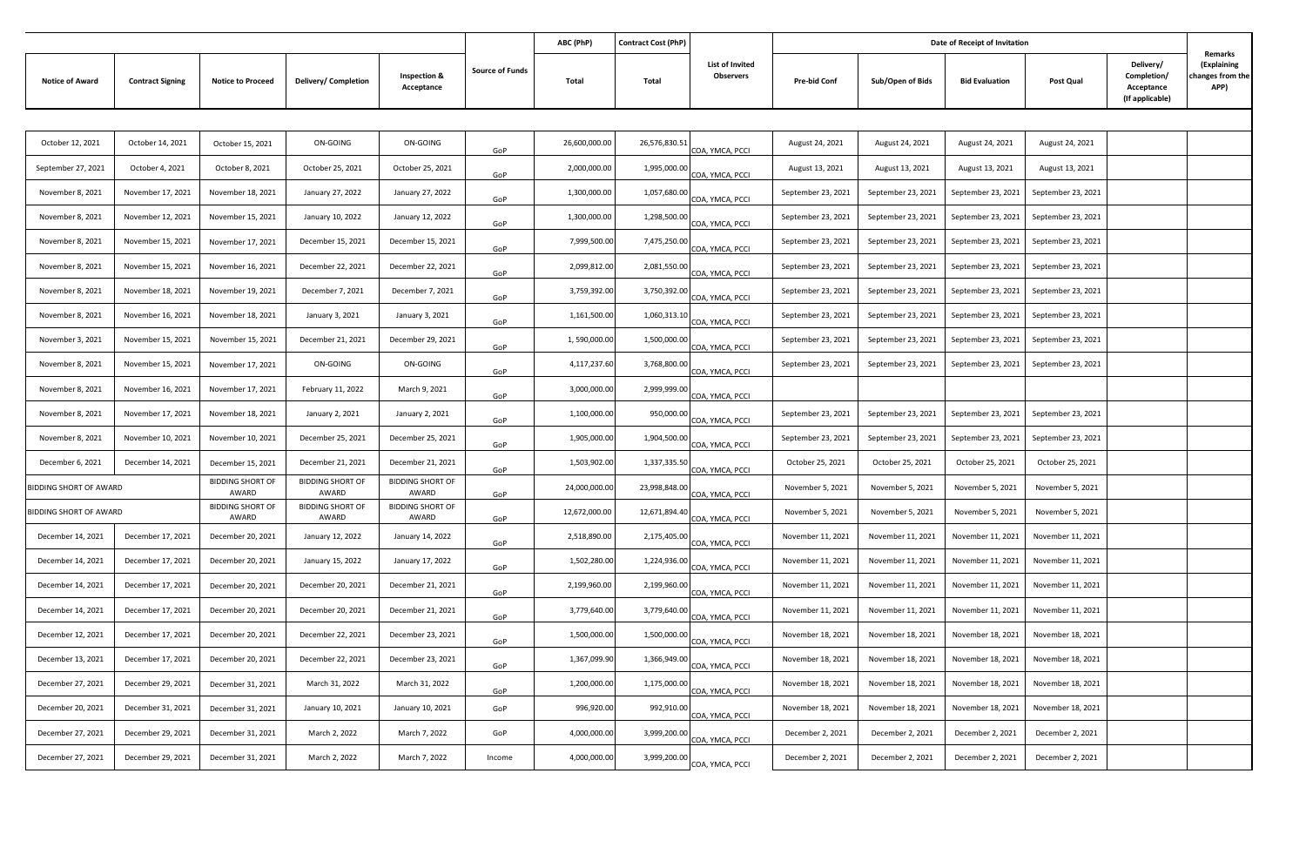|                        |                         |                                  |                                  |                                       |                        | ABC (PhP)     | Contract Cost (PhP) |                                            |                     |                    | Date of Receipt of Invitation |                    |                                                           | Remarks                                 |
|------------------------|-------------------------|----------------------------------|----------------------------------|---------------------------------------|------------------------|---------------|---------------------|--------------------------------------------|---------------------|--------------------|-------------------------------|--------------------|-----------------------------------------------------------|-----------------------------------------|
| <b>Notice of Award</b> | <b>Contract Signing</b> | <b>Notice to Proceed</b>         | Delivery/ Completion             | <b>Inspection &amp;</b><br>Acceptance | <b>Source of Funds</b> | Total         | Total               | <b>List of Invited</b><br><b>Observers</b> | <b>Pre-bid Conf</b> | Sub/Open of Bids   | <b>Bid Evaluation</b>         | Post Qual          | Delivery/<br>Completion/<br>Acceptance<br>(If applicable) | (Explaining<br>changes from the<br>APP) |
|                        |                         |                                  |                                  |                                       |                        |               |                     |                                            |                     |                    |                               |                    |                                                           |                                         |
| October 12, 2021       | October 14, 2021        | October 15, 2021                 | <b>ON-GOING</b>                  | ON-GOING                              | GoP                    | 26,600,000.00 | 26,576,830.51       | COA, YMCA, PCCI                            | August 24, 2021     | August 24, 2021    | August 24, 2021               | August 24, 2021    |                                                           |                                         |
| September 27, 2021     | October 4, 2021         | October 8, 2021                  | October 25, 2021                 | October 25, 2021                      | GoP                    | 2,000,000.00  | 1,995,000.00        | COA, YMCA, PCCI                            | August 13, 2021     | August 13, 2021    | August 13, 2021               | August 13, 2021    |                                                           |                                         |
| November 8, 2021       | November 17, 2021       | November 18, 2021                | January 27, 2022                 | January 27, 2022                      | GoP                    | 1,300,000.00  | 1,057,680.00        | COA, YMCA, PCCI                            | September 23, 2021  | September 23, 2021 | September 23, 2021            | September 23, 2021 |                                                           |                                         |
| November 8, 2021       | November 12, 2021       | November 15, 2021                | January 10, 2022                 | January 12, 2022                      | GoP                    | 1,300,000.00  | 1,298,500.00        | COA, YMCA, PCCI                            | September 23, 2021  | September 23, 2021 | September 23, 2021            | September 23, 2021 |                                                           |                                         |
| November 8, 2021       | November 15, 2021       | November 17, 2021                | December 15, 2021                | December 15, 2021                     | GoP                    | 7,999,500.00  | 7,475,250.00        | COA, YMCA, PCCI                            | September 23, 2021  | September 23, 2021 | September 23, 2021            | September 23, 2021 |                                                           |                                         |
| November 8, 2021       | November 15, 2021       | November 16, 2021                | December 22, 2021                | December 22, 2021                     | GoP                    | 2,099,812.00  | 2,081,550.00        | COA, YMCA, PCCI                            | September 23, 2021  | September 23, 2021 | September 23, 2021            | September 23, 2021 |                                                           |                                         |
| November 8, 2021       | November 18, 2021       | November 19, 2021                | December 7, 2021                 | December 7, 2021                      | GoP                    | 3,759,392.00  | 3,750,392.00        | COA, YMCA, PCCI                            | September 23, 2021  | September 23, 2021 | September 23, 2021            | September 23, 2021 |                                                           |                                         |
| November 8, 2021       | November 16, 2021       | November 18, 2021                | January 3, 2021                  | January 3, 2021                       | GoP                    | 1,161,500.00  | 1,060,313.10        | COA, YMCA, PCCI                            | September 23, 2021  | September 23, 2021 | September 23, 2021            | September 23, 2021 |                                                           |                                         |
| November 3, 2021       | November 15, 2021       | November 15, 2021                | December 21, 2021                | December 29, 2021                     | GoP                    | 1,590,000.00  | 1,500,000.00        | COA, YMCA, PCCI                            | September 23, 2021  | September 23, 2021 | September 23, 2021            | September 23, 2021 |                                                           |                                         |
| November 8, 2021       | November 15, 2021       | November 17, 2021                | ON-GOING                         | ON-GOING                              | GoP                    | 4,117,237.60  | 3,768,800.00        | COA, YMCA, PCCI                            | September 23, 2021  | September 23, 2021 | September 23, 2021            | September 23, 2021 |                                                           |                                         |
| November 8, 2021       | November 16, 2021       | November 17, 2021                | February 11, 2022                | March 9, 2021                         | GoP                    | 3,000,000.00  | 2,999,999.00        | COA, YMCA, PCCI                            |                     |                    |                               |                    |                                                           |                                         |
| November 8, 2021       | November 17, 2021       | November 18, 2021                | January 2, 2021                  | January 2, 2021                       | GoP                    | 1,100,000.00  | 950,000.00          | COA, YMCA, PCCI                            | September 23, 2021  | September 23, 2021 | September 23, 2021            | September 23, 2021 |                                                           |                                         |
| November 8, 2021       | November 10, 2021       | November 10, 2021                | December 25, 2021                | December 25, 2021                     | GoP                    | 1,905,000.00  | 1,904,500.00        | COA, YMCA, PCCI                            | September 23, 2021  | September 23, 2021 | September 23, 2021            | September 23, 2021 |                                                           |                                         |
| December 6, 2021       | December 14, 2021       | December 15, 2021                | December 21, 2021                | December 21, 2021                     | GoP                    | 1,503,902.00  | 1,337,335.50        | COA, YMCA, PCCI                            | October 25, 2021    | October 25, 2021   | October 25, 2021              | October 25, 2021   |                                                           |                                         |
| BIDDING SHORT OF AWARD |                         | <b>BIDDING SHORT OF</b><br>AWARD | <b>BIDDING SHORT OF</b><br>AWARD | <b>BIDDING SHORT OF</b><br>AWARD      | GoP                    | 24,000,000.00 | 23,998,848.00       | COA, YMCA, PCCI                            | November 5, 2021    | November 5, 2021   | November 5, 2021              | November 5, 2021   |                                                           |                                         |
| BIDDING SHORT OF AWARD |                         | <b>BIDDING SHORT OF</b><br>AWARD | <b>BIDDING SHORT OF</b><br>AWARD | <b>BIDDING SHORT OF</b><br>AWARD      | GoP                    | 12,672,000.00 | 12,671,894.40       | COA, YMCA, PCCI                            | November 5, 2021    | November 5, 2021   | November 5, 2021              | November 5, 2021   |                                                           |                                         |
| December 14, 2021      | December 17, 2021       | December 20, 2021                | January 12, 2022                 | January 14, 2022                      | GoP                    | 2,518,890.00  | 2,175,405.00        | COA, YMCA, PCCI                            | November 11, 2021   | November 11, 2021  | November 11, 2021             | November 11, 2021  |                                                           |                                         |
| December 14, 2021      | December 17, 2021       | December 20, 2021                | January 15, 2022                 | January 17, 2022                      | GoP                    | 1,502,280.00  | 1,224,936.00        | COA, YMCA, PCCI                            | November 11, 2021   | November 11, 2021  | November 11, 2021             | November 11, 2021  |                                                           |                                         |
| December 14, 2021      | December 17, 2021       | December 20, 2021                | December 20, 2021                | December 21, 2021                     | GoP                    | 2,199,960.00  | 2,199,960.00        | COA, YMCA, PCCI                            | November 11, 2021   | November 11, 2021  | November 11, 2021             | November 11, 2021  |                                                           |                                         |
| December 14, 2021      | December 17, 2021       | December 20, 2021                | December 20, 2021                | December 21, 2021                     | GoP                    | 3,779,640.00  | 3,779,640.00        | COA, YMCA, PCCI                            | November 11, 2021   | November 11, 2021  | November 11, 2021             | November 11, 2021  |                                                           |                                         |
| December 12, 2021      | December 17, 2021       | December 20, 2021                | December 22, 2021                | December 23, 2021                     | GoP                    | 1,500,000.00  | 1,500,000.00        | COA, YMCA, PCCI                            | November 18, 2021   | November 18, 2021  | November 18, 2021             | November 18, 2021  |                                                           |                                         |
| December 13, 2021      | December 17, 2021       | December 20, 2021                | December 22, 2021                | December 23, 2021                     | GoP                    | 1,367,099.90  | 1,366,949.00        | COA, YMCA, PCCI                            | November 18, 2021   | November 18, 2021  | November 18, 2021             | November 18, 2021  |                                                           |                                         |
| December 27, 2021      | December 29, 2021       | December 31, 2021                | March 31, 2022                   | March 31, 2022                        | GoP                    | 1,200,000.00  | 1,175,000.00        | COA, YMCA, PCCI                            | November 18, 2021   | November 18, 2021  | November 18, 2021             | November 18, 2021  |                                                           |                                         |
| December 20, 2021      | December 31, 2021       | December 31, 2021                | January 10, 2021                 | January 10, 2021                      | GoP                    | 996,920.00    | 992,910.00          | COA, YMCA, PCCI                            | November 18, 2021   | November 18, 2021  | November 18, 2021             | November 18, 2021  |                                                           |                                         |
| December 27, 2021      | December 29, 2021       | December 31, 2021                | March 2, 2022                    | March 7, 2022                         | GoP                    | 4,000,000.00  | 3,999,200.00        | COA, YMCA, PCCI                            | December 2, 2021    | December 2, 2021   | December 2, 2021              | December 2, 2021   |                                                           |                                         |
| December 27, 2021      | December 29, 2021       | December 31, 2021                | March 2, 2022                    | March 7, 2022                         | Income                 | 4,000,000.00  | 3,999,200.00        | COA, YMCA, PCCI                            | December 2, 2021    | December 2, 2021   | December 2, 2021              | December 2, 2021   |                                                           |                                         |